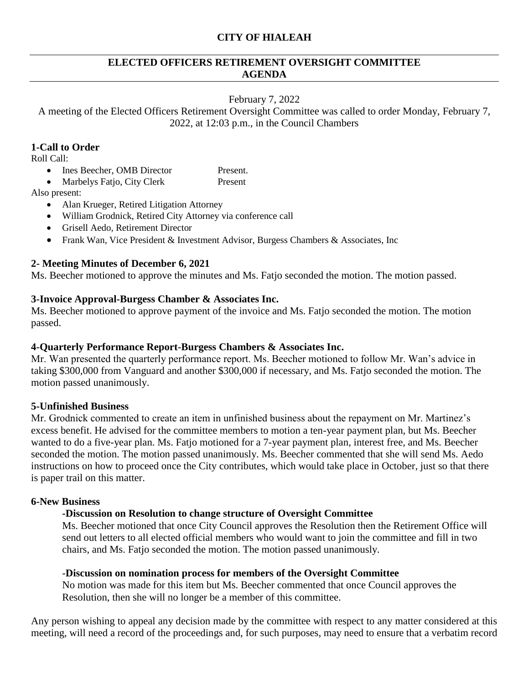## **CITY OF HIALEAH**

### **ELECTED OFFICERS RETIREMENT OVERSIGHT COMMITTEE AGENDA**

### February 7, 2022

A meeting of the Elected Officers Retirement Oversight Committee was called to order Monday, February 7, 2022, at 12:03 p.m., in the Council Chambers

## **1-Call to Order**

Roll Call:

- Ines Beecher, OMB Director Present.
- Marbelys Fatjo, City Clerk Present

Also present:

- Alan Krueger, Retired Litigation Attorney
- William Grodnick, Retired City Attorney via conference call
- Grisell Aedo, Retirement Director
- Frank Wan, Vice President & Investment Advisor, Burgess Chambers & Associates, Inc

# **2- Meeting Minutes of December 6, 2021**

Ms. Beecher motioned to approve the minutes and Ms. Fatjo seconded the motion. The motion passed.

# **3-Invoice Approval-Burgess Chamber & Associates Inc.**

Ms. Beecher motioned to approve payment of the invoice and Ms. Fatjo seconded the motion. The motion passed.

### **4-Quarterly Performance Report-Burgess Chambers & Associates Inc.**

Mr. Wan presented the quarterly performance report. Ms. Beecher motioned to follow Mr. Wan's advice in taking \$300,000 from Vanguard and another \$300,000 if necessary, and Ms. Fatjo seconded the motion. The motion passed unanimously.

# **5-Unfinished Business**

Mr. Grodnick commented to create an item in unfinished business about the repayment on Mr. Martinez's excess benefit. He advised for the committee members to motion a ten-year payment plan, but Ms. Beecher wanted to do a five-year plan. Ms. Fatjo motioned for a 7-year payment plan, interest free, and Ms. Beecher seconded the motion. The motion passed unanimously. Ms. Beecher commented that she will send Ms. Aedo instructions on how to proceed once the City contributes, which would take place in October, just so that there is paper trail on this matter.

### **6-New Business**

# **-Discussion on Resolution to change structure of Oversight Committee**

Ms. Beecher motioned that once City Council approves the Resolution then the Retirement Office will send out letters to all elected official members who would want to join the committee and fill in two chairs, and Ms. Fatjo seconded the motion. The motion passed unanimously.

### -**Discussion on nomination process for members of the Oversight Committee**

No motion was made for this item but Ms. Beecher commented that once Council approves the Resolution, then she will no longer be a member of this committee.

Any person wishing to appeal any decision made by the committee with respect to any matter considered at this meeting, will need a record of the proceedings and, for such purposes, may need to ensure that a verbatim record